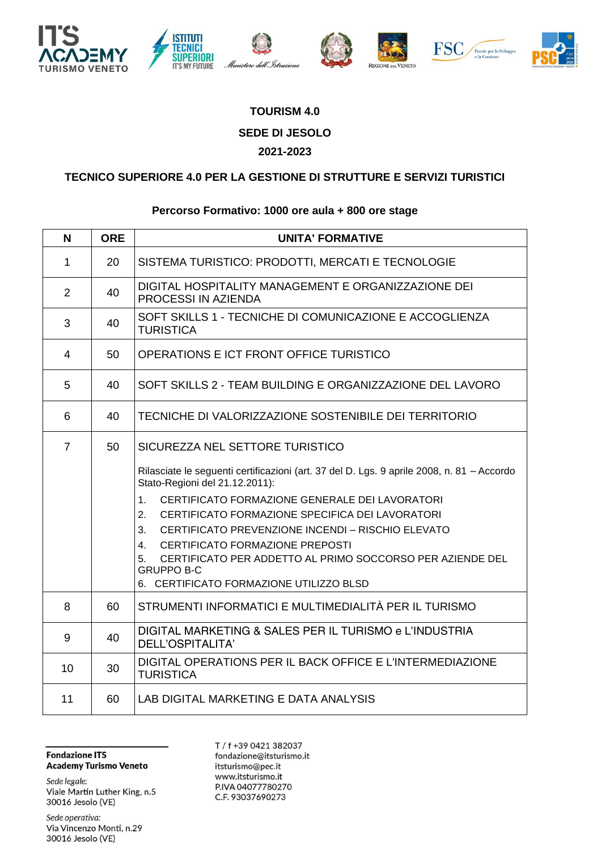











## **TOURISM 4.0 SEDE DI JESOLO 2021-2023**

## **TECNICO SUPERIORE 4.0 PER LA GESTIONE DI STRUTTURE E SERVIZI TURISTICI**

## **Percorso Formativo: 1000 ore aula + 800 ore stage**

| N              | <b>ORE</b> | <b>UNITA' FORMATIVE</b>                                                                                                                                                                                                                                                                                                                                                                                                                                                                                                          |
|----------------|------------|----------------------------------------------------------------------------------------------------------------------------------------------------------------------------------------------------------------------------------------------------------------------------------------------------------------------------------------------------------------------------------------------------------------------------------------------------------------------------------------------------------------------------------|
| $\mathbf{1}$   | 20         | SISTEMA TURISTICO: PRODOTTI, MERCATI E TECNOLOGIE                                                                                                                                                                                                                                                                                                                                                                                                                                                                                |
| $\overline{2}$ | 40         | DIGITAL HOSPITALITY MANAGEMENT E ORGANIZZAZIONE DEI<br>PROCESSI IN AZIENDA                                                                                                                                                                                                                                                                                                                                                                                                                                                       |
| 3              | 40         | SOFT SKILLS 1 - TECNICHE DI COMUNICAZIONE E ACCOGLIENZA<br><b>TURISTICA</b>                                                                                                                                                                                                                                                                                                                                                                                                                                                      |
| $\overline{4}$ | 50         | OPERATIONS E ICT FRONT OFFICE TURISTICO                                                                                                                                                                                                                                                                                                                                                                                                                                                                                          |
| 5              | 40.        | SOFT SKILLS 2 - TEAM BUILDING E ORGANIZZAZIONE DEL LAVORO                                                                                                                                                                                                                                                                                                                                                                                                                                                                        |
| 6              | 40         | TECNICHE DI VALORIZZAZIONE SOSTENIBILE DEI TERRITORIO                                                                                                                                                                                                                                                                                                                                                                                                                                                                            |
| $\overline{7}$ | 50         | SICUREZZA NEL SETTORE TURISTICO<br>Rilasciate le seguenti certificazioni (art. 37 del D. Lgs. 9 aprile 2008, n. 81 - Accordo<br>Stato-Regioni del 21.12.2011):<br>CERTIFICATO FORMAZIONE GENERALE DEI LAVORATORI<br>$1_{-}$<br>CERTIFICATO FORMAZIONE SPECIFICA DEI LAVORATORI<br>$2^{2}$<br>3.<br>CERTIFICATO PREVENZIONE INCENDI - RISCHIO ELEVATO<br>CERTIFICATO FORMAZIONE PREPOSTI<br>4.<br>CERTIFICATO PER ADDETTO AL PRIMO SOCCORSO PER AZIENDE DEL<br>5.<br><b>GRUPPO B-C</b><br>6. CERTIFICATO FORMAZIONE UTILIZZO BLSD |
| 8              | 60         | STRUMENTI INFORMATICI E MULTIMEDIALITÀ PER IL TURISMO                                                                                                                                                                                                                                                                                                                                                                                                                                                                            |
| 9              | 40         | DIGITAL MARKETING & SALES PER IL TURISMO e L'INDUSTRIA<br>DELL'OSPITALITA'                                                                                                                                                                                                                                                                                                                                                                                                                                                       |
| 10             | 30         | DIGITAL OPERATIONS PER IL BACK OFFICE E L'INTERMEDIAZIONE<br><b>TURISTICA</b>                                                                                                                                                                                                                                                                                                                                                                                                                                                    |
| 11             | 60         | LAB DIGITAL MARKETING E DATA ANALYSIS                                                                                                                                                                                                                                                                                                                                                                                                                                                                                            |

**Fondazione ITS Academy Turismo Veneto** 

Sede legale: Viale Martin Luther King, n.5 30016 Jesolo (VE)

Sede operativa: Via Vincenzo Monti, n.29 30016 Jesolo (VE)

T / f +39 0421 382037 fondazione@itsturismo.it itsturismo@pec.it www.itsturismo.it P.IVA 04077780270 C.F. 93037690273